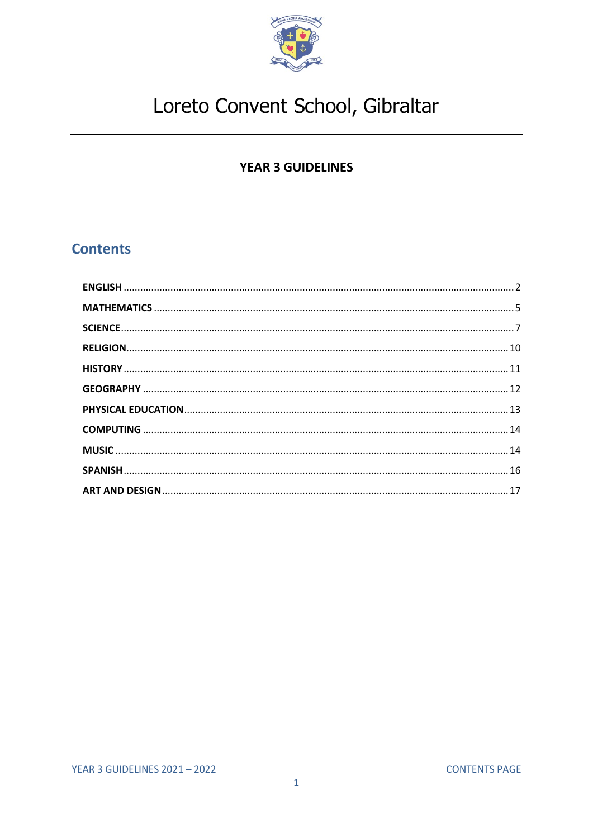

### **YEAR 3 GUIDELINES**

### <span id="page-0-0"></span>**Contents**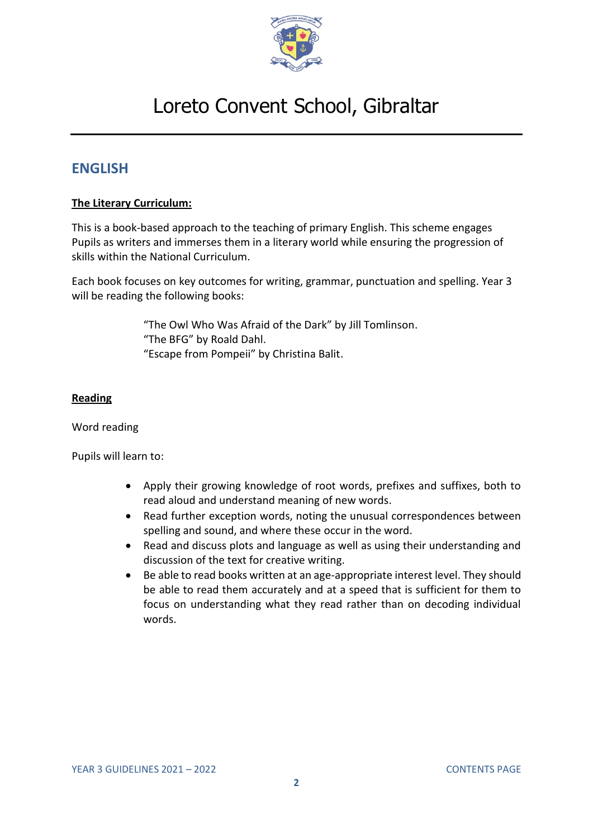

### <span id="page-1-0"></span>**ENGLISH**

#### **The Literary Curriculum:**

This is a book-based approach to the teaching of primary English. This scheme engages Pupils as writers and immerses them in a literary world while ensuring the progression of skills within the National Curriculum.

Each book focuses on key outcomes for writing, grammar, punctuation and spelling. Year 3 will be reading the following books:

> "The Owl Who Was Afraid of the Dark" by Jill Tomlinson. "The BFG" by Roald Dahl. "Escape from Pompeii" by Christina Balit.

#### **Reading**

#### Word reading

- Apply their growing knowledge of root words, prefixes and suffixes, both to read aloud and understand meaning of new words.
- Read further exception words, noting the unusual correspondences between spelling and sound, and where these occur in the word.
- Read and discuss plots and language as well as using their understanding and discussion of the text for creative writing.
- Be able to read books written at an age-appropriate interest level. They should be able to read them accurately and at a speed that is sufficient for them to focus on understanding what they read rather than on decoding individual words.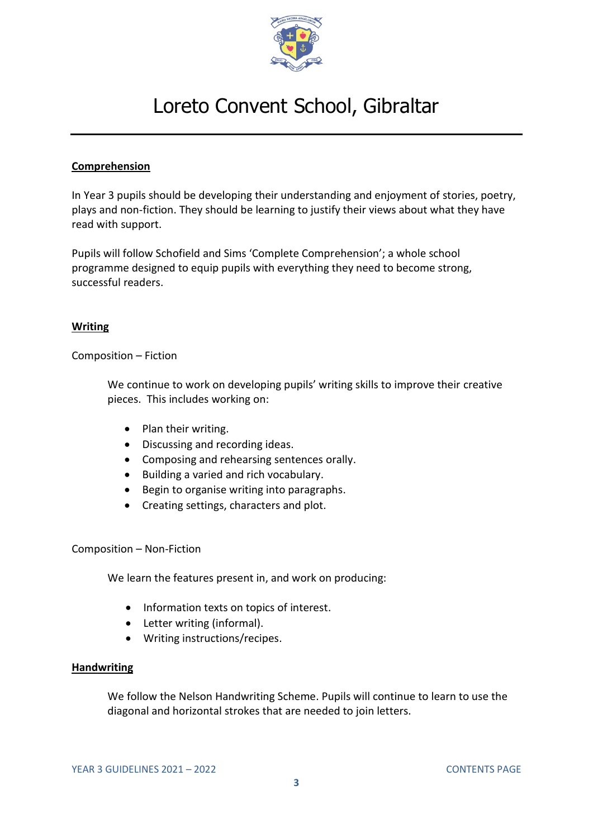

#### **Comprehension**

In Year 3 pupils should be developing their understanding and enjoyment of stories, poetry, plays and non-fiction. They should be learning to justify their views about what they have read with support.

Pupils will follow Schofield and Sims 'Complete Comprehension'; a whole school programme designed to equip pupils with everything they need to become strong, successful readers.

#### **Writing**

Composition – Fiction

We continue to work on developing pupils' writing skills to improve their creative pieces. This includes working on:

- Plan their writing.
- Discussing and recording ideas.
- Composing and rehearsing sentences orally.
- Building a varied and rich vocabulary.
- Begin to organise writing into paragraphs.
- Creating settings, characters and plot.

#### Composition – Non-Fiction

We learn the features present in, and work on producing:

- Information texts on topics of interest.
- Letter writing (informal).
- Writing instructions/recipes.

#### **Handwriting**

We follow the Nelson Handwriting Scheme. Pupils will continue to learn to use the diagonal and horizontal strokes that are needed to join letters.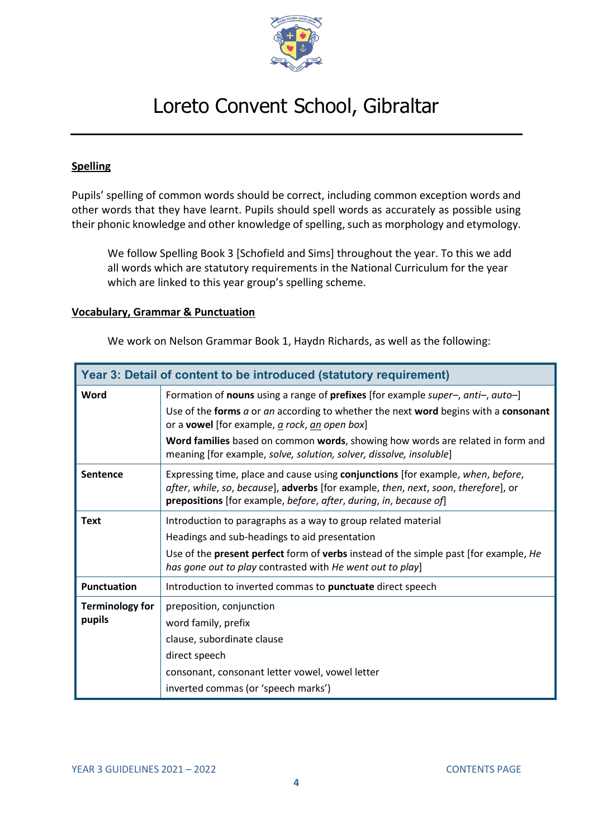

#### **Spelling**

Pupils' spelling of common words should be correct, including common exception words and other words that they have learnt. Pupils should spell words as accurately as possible using their phonic knowledge and other knowledge of spelling, such as morphology and etymology.

We follow Spelling Book 3 [Schofield and Sims] throughout the year. To this we add all words which are statutory requirements in the National Curriculum for the year which are linked to this year group's spelling scheme.

#### **Vocabulary, Grammar & Punctuation**

We work on Nelson Grammar Book 1, Haydn Richards, as well as the following:

| Year 3: Detail of content to be introduced (statutory requirement) |                                                                                                                                                                                                                                            |  |
|--------------------------------------------------------------------|--------------------------------------------------------------------------------------------------------------------------------------------------------------------------------------------------------------------------------------------|--|
| Word                                                               | Formation of nouns using a range of prefixes [for example super-, anti-, auto-]                                                                                                                                                            |  |
|                                                                    | Use of the forms a or an according to whether the next word begins with a consonant<br>or a <b>vowel</b> [for example, a rock, an open box]                                                                                                |  |
|                                                                    | Word families based on common words, showing how words are related in form and<br>meaning [for example, solve, solution, solver, dissolve, insoluble]                                                                                      |  |
| <b>Sentence</b>                                                    | Expressing time, place and cause using conjunctions [for example, when, before,<br>after, while, so, because], adverbs [for example, then, next, soon, therefore], or<br>prepositions [for example, before, after, during, in, because of] |  |
| <b>Text</b>                                                        | Introduction to paragraphs as a way to group related material<br>Headings and sub-headings to aid presentation                                                                                                                             |  |
|                                                                    | Use of the <b>present perfect</b> form of <b>verbs</b> instead of the simple past [for example, He<br>has gone out to play contrasted with He went out to play]                                                                            |  |
| <b>Punctuation</b>                                                 | Introduction to inverted commas to punctuate direct speech                                                                                                                                                                                 |  |
| <b>Terminology for</b><br>pupils                                   | preposition, conjunction<br>word family, prefix                                                                                                                                                                                            |  |
|                                                                    | clause, subordinate clause                                                                                                                                                                                                                 |  |
|                                                                    | direct speech                                                                                                                                                                                                                              |  |
|                                                                    | consonant, consonant letter vowel, vowel letter                                                                                                                                                                                            |  |
|                                                                    | inverted commas (or 'speech marks')                                                                                                                                                                                                        |  |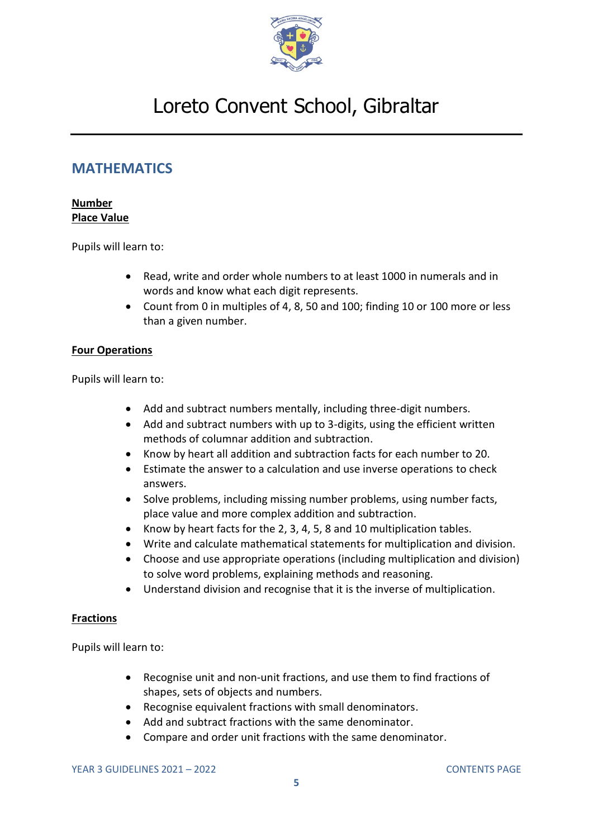

### <span id="page-4-0"></span>**MATHEMATICS**

#### **Number Place Value**

Pupils will learn to:

- Read, write and order whole numbers to at least 1000 in numerals and in words and know what each digit represents.
- Count from 0 in multiples of 4, 8, 50 and 100; finding 10 or 100 more or less than a given number.

#### **Four Operations**

Pupils will learn to:

- Add and subtract numbers mentally, including three-digit numbers.
- Add and subtract numbers with up to 3-digits, using the efficient written methods of columnar addition and subtraction.
- Know by heart all addition and subtraction facts for each number to 20.
- Estimate the answer to a calculation and use inverse operations to check answers.
- Solve problems, including missing number problems, using number facts, place value and more complex addition and subtraction.
- Know by heart facts for the 2, 3, 4, 5, 8 and 10 multiplication tables.
- Write and calculate mathematical statements for multiplication and division.
- Choose and use appropriate operations (including multiplication and division) to solve word problems, explaining methods and reasoning.
- Understand division and recognise that it is the inverse of multiplication.

#### **Fractions**

- Recognise unit and non-unit fractions, and use them to find fractions of shapes, sets of objects and numbers.
- Recognise equivalent fractions with small denominators.
- Add and subtract fractions with the same denominator.
- Compare and order unit fractions with the same denominator.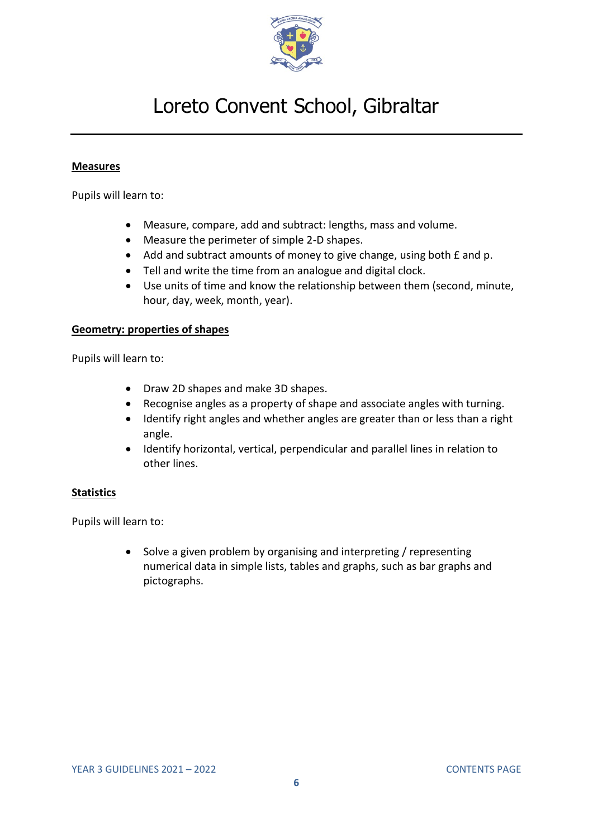

#### **Measures**

Pupils will learn to:

- Measure, compare, add and subtract: lengths, mass and volume.
- Measure the perimeter of simple 2-D shapes.
- Add and subtract amounts of money to give change, using both £ and p.
- Tell and write the time from an analogue and digital clock.
- Use units of time and know the relationship between them (second, minute, hour, day, week, month, year).

#### **Geometry: properties of shapes**

Pupils will learn to:

- Draw 2D shapes and make 3D shapes.
- Recognise angles as a property of shape and associate angles with turning.
- Identify right angles and whether angles are greater than or less than a right angle.
- Identify horizontal, vertical, perpendicular and parallel lines in relation to other lines.

#### **Statistics**

Pupils will learn to:

• Solve a given problem by organising and interpreting / representing numerical data in simple lists, tables and graphs, such as bar graphs and pictographs.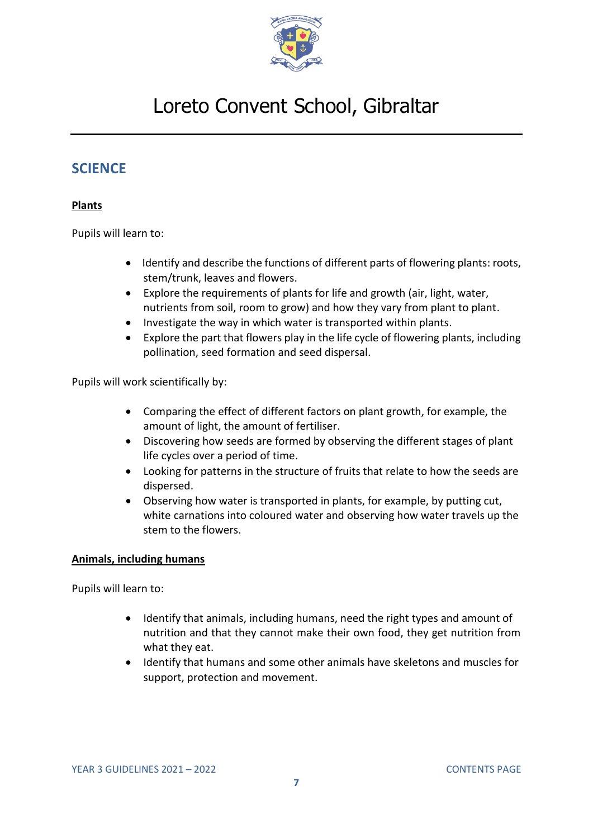

### <span id="page-6-0"></span>**SCIENCE**

#### **Plants**

Pupils will learn to:

- Identify and describe the functions of different parts of flowering plants: roots, stem/trunk, leaves and flowers.
- Explore the requirements of plants for life and growth (air, light, water, nutrients from soil, room to grow) and how they vary from plant to plant.
- Investigate the way in which water is transported within plants.
- Explore the part that flowers play in the life cycle of flowering plants, including pollination, seed formation and seed dispersal.

Pupils will work scientifically by:

- Comparing the effect of different factors on plant growth, for example, the amount of light, the amount of fertiliser.
- Discovering how seeds are formed by observing the different stages of plant life cycles over a period of time.
- Looking for patterns in the structure of fruits that relate to how the seeds are dispersed.
- Observing how water is transported in plants, for example, by putting cut, white carnations into coloured water and observing how water travels up the stem to the flowers.

#### **Animals, including humans**

- Identify that animals, including humans, need the right types and amount of nutrition and that they cannot make their own food, they get nutrition from what they eat.
- Identify that humans and some other animals have skeletons and muscles for support, protection and movement.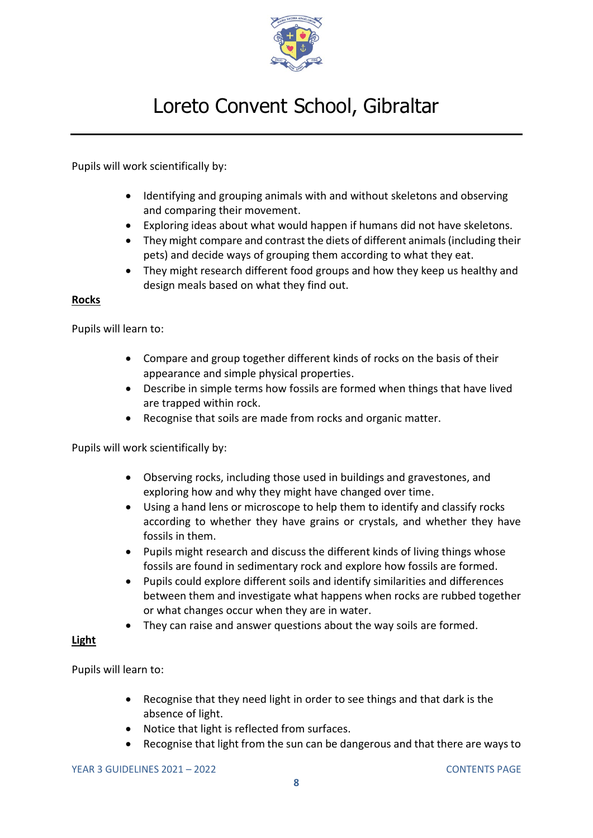

Pupils will work scientifically by:

- Identifying and grouping animals with and without skeletons and observing and comparing their movement.
- Exploring ideas about what would happen if humans did not have skeletons.
- They might compare and contrast the diets of different animals (including their pets) and decide ways of grouping them according to what they eat.
- They might research different food groups and how they keep us healthy and design meals based on what they find out.

#### **Rocks**

Pupils will learn to:

- Compare and group together different kinds of rocks on the basis of their appearance and simple physical properties.
- Describe in simple terms how fossils are formed when things that have lived are trapped within rock.
- Recognise that soils are made from rocks and organic matter.

Pupils will work scientifically by:

- Observing rocks, including those used in buildings and gravestones, and exploring how and why they might have changed over time.
- Using a hand lens or microscope to help them to identify and classify rocks according to whether they have grains or crystals, and whether they have fossils in them.
- Pupils might research and discuss the different kinds of living things whose fossils are found in sedimentary rock and explore how fossils are formed.
- Pupils could explore different soils and identify similarities and differences between them and investigate what happens when rocks are rubbed together or what changes occur when they are in water.
- They can raise and answer questions about the way soils are formed.

#### **Light**

- Recognise that they need light in order to see things and that dark is the absence of light.
- Notice that light is reflected from surfaces.
- Recognise that light from the sun can be dangerous and that there are ways to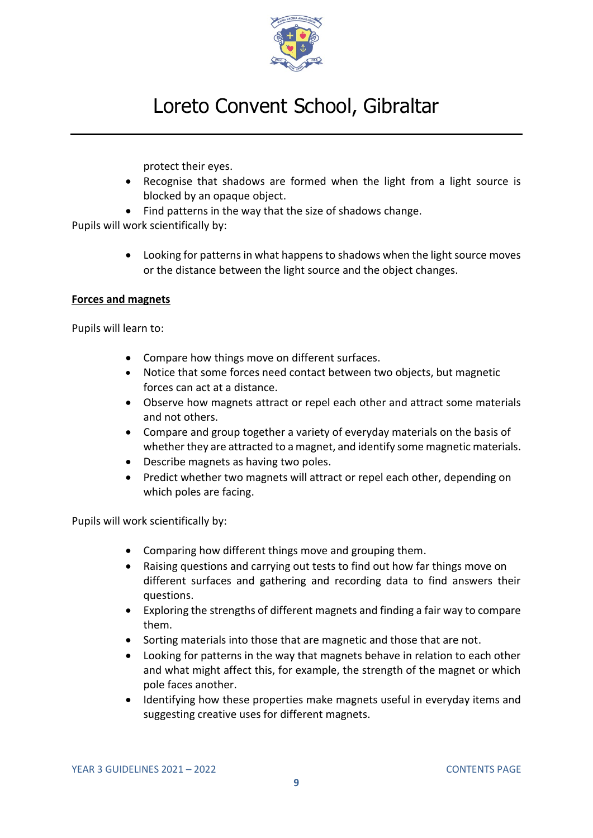

protect their eyes.

- Recognise that shadows are formed when the light from a light source is blocked by an opaque object.
- Find patterns in the way that the size of shadows change.

Pupils will work scientifically by:

• Looking for patterns in what happens to shadows when the light source moves or the distance between the light source and the object changes.

#### **Forces and magnets**

Pupils will learn to:

- Compare how things move on different surfaces.
- Notice that some forces need contact between two objects, but magnetic forces can act at a distance.
- Observe how magnets attract or repel each other and attract some materials and not others.
- Compare and group together a variety of everyday materials on the basis of whether they are attracted to a magnet, and identify some magnetic materials.
- Describe magnets as having two poles.
- Predict whether two magnets will attract or repel each other, depending on which poles are facing.

Pupils will work scientifically by:

- Comparing how different things move and grouping them.
- Raising questions and carrying out tests to find out how far things move on different surfaces and gathering and recording data to find answers their questions.
- Exploring the strengths of different magnets and finding a fair way to compare them.
- Sorting materials into those that are magnetic and those that are not.
- Looking for patterns in the way that magnets behave in relation to each other and what might affect this, for example, the strength of the magnet or which pole faces another.
- <span id="page-8-0"></span>• Identifying how these properties make magnets useful in everyday items and suggesting creative uses for different magnets.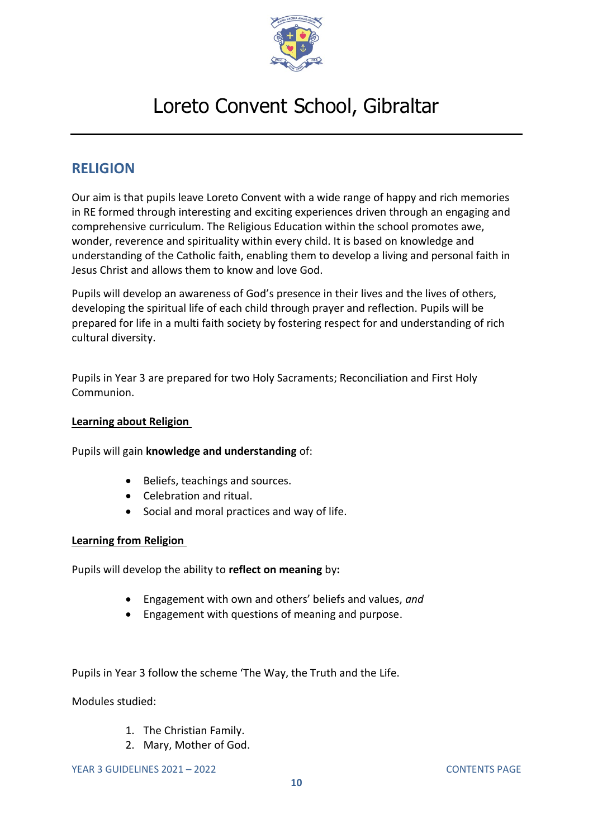

### **RELIGION**

Our aim is that pupils leave Loreto Convent with a wide range of happy and rich memories in RE formed through interesting and exciting experiences driven through an engaging and comprehensive curriculum. The Religious Education within the school promotes awe, wonder, reverence and spirituality within every child. It is based on knowledge and understanding of the Catholic faith, enabling them to develop a living and personal faith in Jesus Christ and allows them to know and love God.

Pupils will develop an awareness of God's presence in their lives and the lives of others, developing the spiritual life of each child through prayer and reflection. Pupils will be prepared for life in a multi faith society by fostering respect for and understanding of rich cultural diversity.

Pupils in Year 3 are prepared for two Holy Sacraments; Reconciliation and First Holy Communion.

#### **Learning about Religion**

Pupils will gain **knowledge and understanding** of:

- Beliefs, teachings and sources.
- Celebration and ritual.
- Social and moral practices and way of life.

#### **Learning from Religion**

Pupils will develop the ability to **reflect on meaning** by**:**

- Engagement with own and others' beliefs and values, *and*
- Engagement with questions of meaning and purpose.

Pupils in Year 3 follow the scheme 'The Way, the Truth and the Life.

Modules studied:

- 1. The Christian Family.
- 2. Mary, Mother of God.

YEAR 3 GUIDELINES 2021 – 2022 [CONTENTS](#page-0-0) PAGE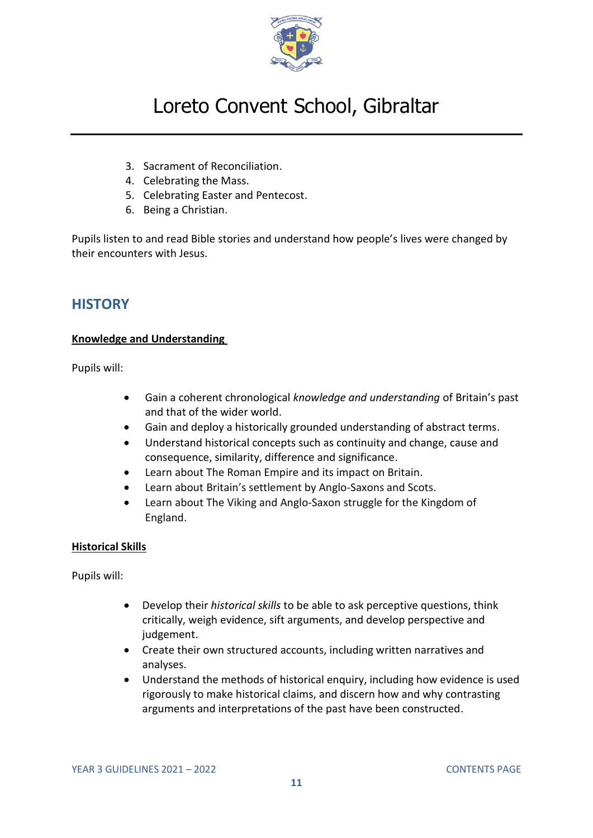

- 3. Sacrament of Reconciliation.
- 4. Celebrating the Mass.
- 5. Celebrating Easter and Pentecost.
- 6. Being a Christian.

Pupils listen to and read Bible stories and understand how people's lives were changed by their encounters with Jesus.

### <span id="page-10-0"></span>**HISTORY**

#### **Knowledge and Understanding**

Pupils will:

- Gain a coherent chronological *knowledge and understanding* of Britain's past and that of the wider world.
- Gain and deploy a historically grounded understanding of abstract terms.
- Understand historical concepts such as continuity and change, cause and consequence, similarity, difference and significance.
- Learn about The Roman Empire and its impact on Britain.
- Learn about Britain's settlement by Anglo-Saxons and Scots.
- Learn about The Viking and Anglo-Saxon struggle for the Kingdom of England.

#### **Historical Skills**

Pupils will:

- Develop their *historical skills* to be able to ask perceptive questions, think critically, weigh evidence, sift arguments, and develop perspective and judgement.
- Create their own structured accounts, including written narratives and analyses.
- Understand the methods of historical enquiry, including how evidence is used rigorously to make historical claims, and discern how and why contrasting arguments and interpretations of the past have been constructed.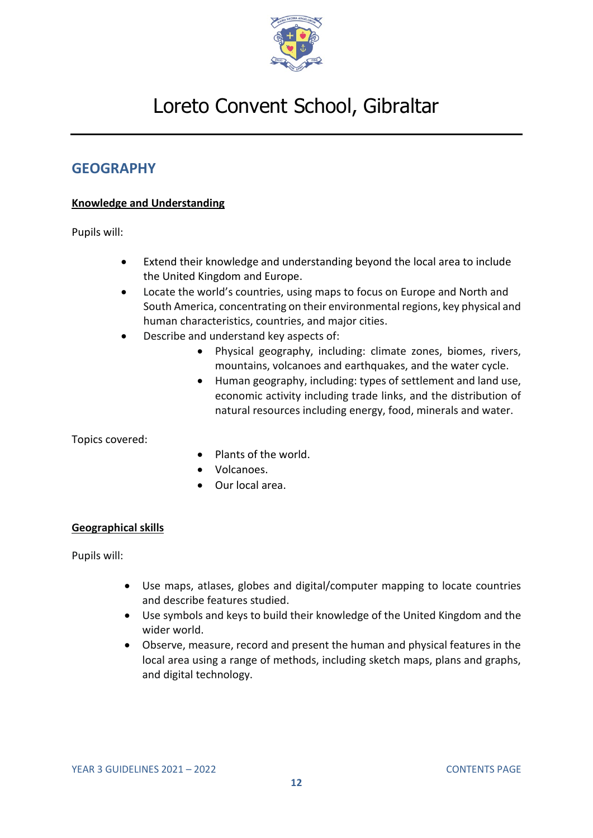

### <span id="page-11-0"></span>**GEOGRAPHY**

#### **Knowledge and Understanding**

Pupils will:

- Extend their knowledge and understanding beyond the local area to include the United Kingdom and Europe.
- Locate the world's countries, using maps to focus on Europe and North and South America, concentrating on their environmental regions, key physical and human characteristics, countries, and major cities.
- Describe and understand key aspects of:
	- Physical geography, including: climate zones, biomes, rivers, mountains, volcanoes and earthquakes, and the water cycle.
	- Human geography, including: types of settlement and land use, economic activity including trade links, and the distribution of natural resources including energy, food, minerals and water.

Topics covered:

- Plants of the world.
- Volcanoes.
- Our local area.

#### **Geographical skills**

Pupils will:

- Use maps, atlases, globes and digital/computer mapping to locate countries and describe features studied.
- Use symbols and keys to build their knowledge of the United Kingdom and the wider world.
- Observe, measure, record and present the human and physical features in the local area using a range of methods, including sketch maps, plans and graphs, and digital technology.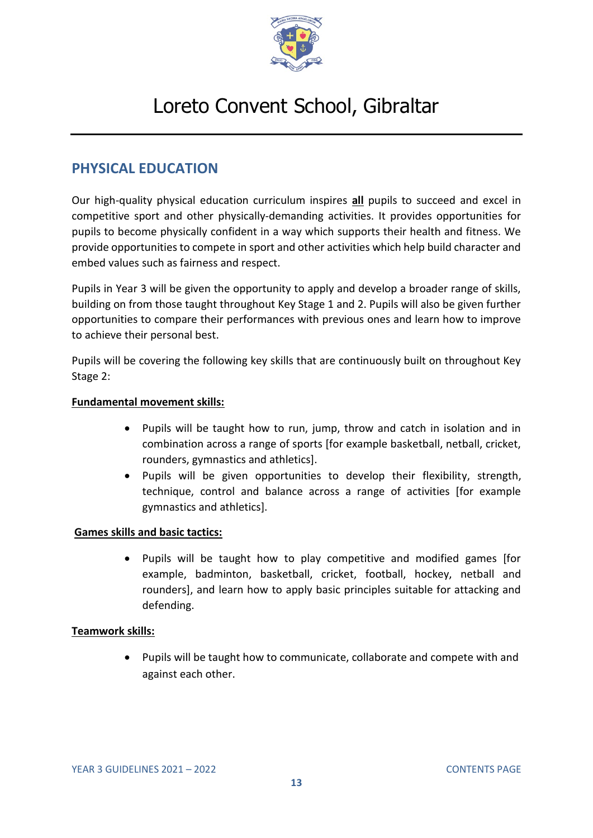

### <span id="page-12-0"></span>**PHYSICAL EDUCATION**

Our high-quality physical education curriculum inspires **all** pupils to succeed and excel in competitive sport and other physically-demanding activities. It provides opportunities for pupils to become physically confident in a way which supports their health and fitness. We provide opportunities to compete in sport and other activities which help build character and embed values such as fairness and respect.

Pupils in Year 3 will be given the opportunity to apply and develop a broader range of skills, building on from those taught throughout Key Stage 1 and 2. Pupils will also be given further opportunities to compare their performances with previous ones and learn how to improve to achieve their personal best.

Pupils will be covering the following key skills that are continuously built on throughout Key Stage 2:

#### **Fundamental movement skills:**

- Pupils will be taught how to run, jump, throw and catch in isolation and in combination across a range of sports [for example basketball, netball, cricket, rounders, gymnastics and athletics].
- Pupils will be given opportunities to develop their flexibility, strength, technique, control and balance across a range of activities [for example gymnastics and athletics].

#### **Games skills and basic tactics:**

• Pupils will be taught how to play competitive and modified games [for example, badminton, basketball, cricket, football, hockey, netball and rounders], and learn how to apply basic principles suitable for attacking and defending.

#### **Teamwork skills:**

• Pupils will be taught how to communicate, collaborate and compete with and against each other.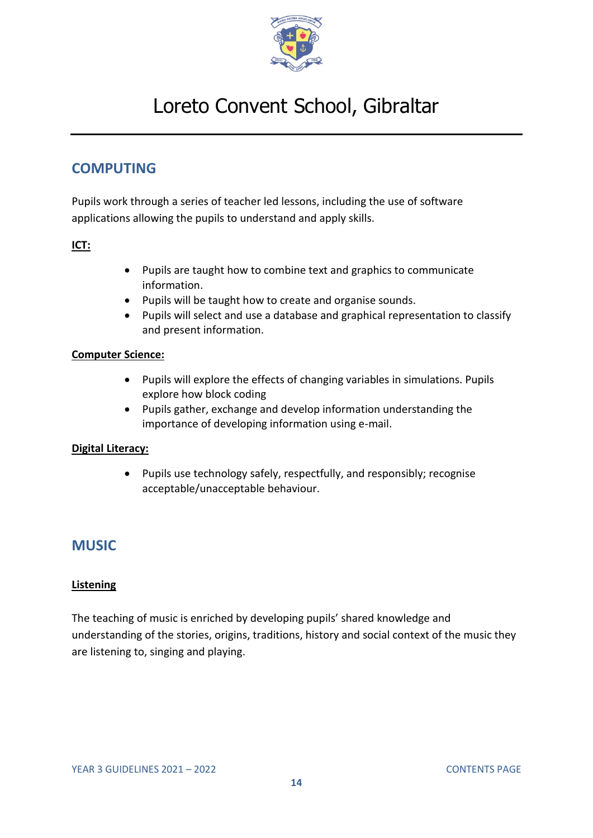

### <span id="page-13-0"></span>**COMPUTING**

Pupils work through a series of teacher led lessons, including the use of software applications allowing the pupils to understand and apply skills.

#### **ICT:**

- Pupils are taught how to combine text and graphics to communicate information.
- Pupils will be taught how to create and organise sounds.
- Pupils will select and use a database and graphical representation to classify and present information.

#### **Computer Science:**

- Pupils will explore the effects of changing variables in simulations. Pupils explore how block coding
- Pupils gather, exchange and develop information understanding the importance of developing information using e-mail.

#### **Digital Literacy:**

• Pupils use technology safely, respectfully, and responsibly; recognise acceptable/unacceptable behaviour.

### <span id="page-13-1"></span>**MUSIC**

#### **Listening**

The teaching of music is enriched by developing pupils' shared knowledge and understanding of the stories, origins, traditions, history and social context of the music they are listening to, singing and playing.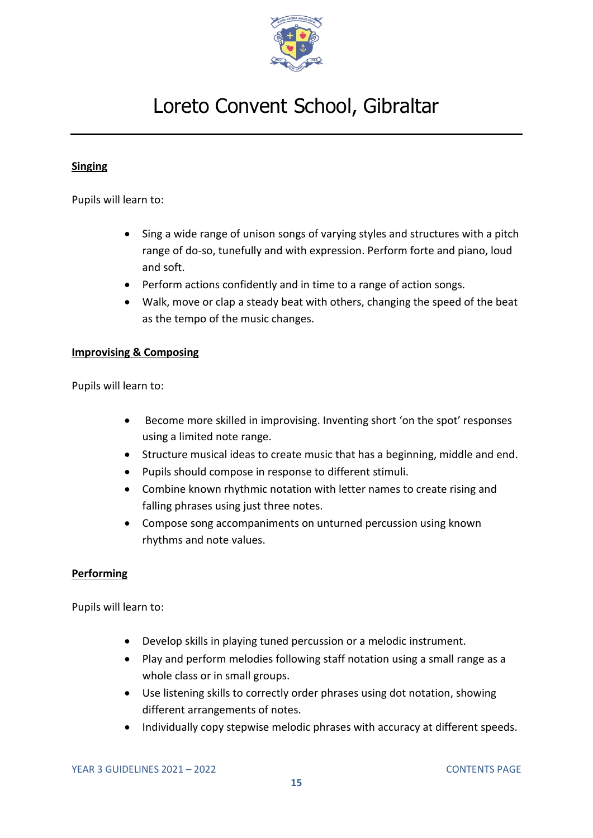

#### **Singing**

Pupils will learn to:

- Sing a wide range of unison songs of varying styles and structures with a pitch range of do-so, tunefully and with expression. Perform forte and piano, loud and soft.
- Perform actions confidently and in time to a range of action songs.
- Walk, move or clap a steady beat with others, changing the speed of the beat as the tempo of the music changes.

#### **Improvising & Composing**

Pupils will learn to:

- Become more skilled in improvising. Inventing short 'on the spot' responses using a limited note range.
- Structure musical ideas to create music that has a beginning, middle and end.
- Pupils should compose in response to different stimuli.
- Combine known rhythmic notation with letter names to create rising and falling phrases using just three notes.
- Compose song accompaniments on unturned percussion using known rhythms and note values.

#### **Performing**

- Develop skills in playing tuned percussion or a melodic instrument.
- Play and perform melodies following staff notation using a small range as a whole class or in small groups.
- Use listening skills to correctly order phrases using dot notation, showing different arrangements of notes.
- Individually copy stepwise melodic phrases with accuracy at different speeds.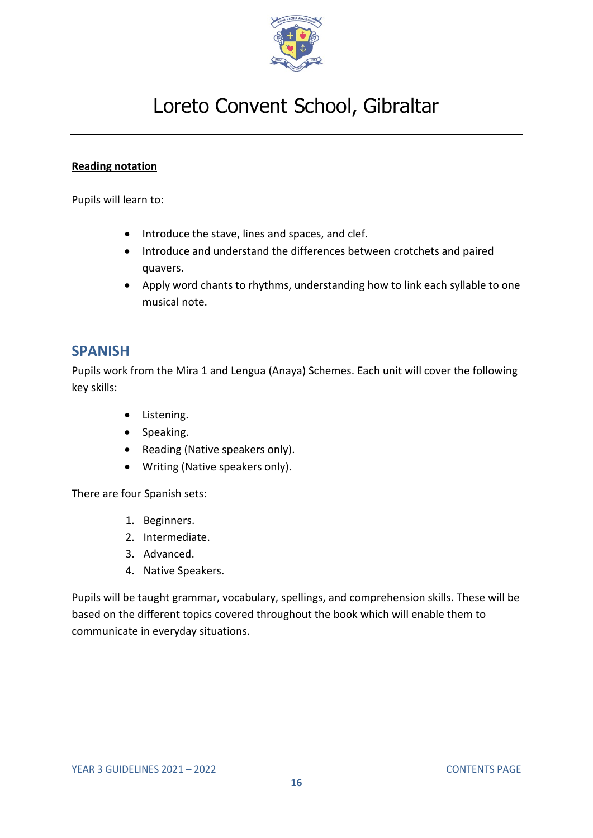

#### **Reading notation**

Pupils will learn to:

- Introduce the stave, lines and spaces, and clef.
- Introduce and understand the differences between crotchets and paired quavers.
- Apply word chants to rhythms, understanding how to link each syllable to one musical note.

### <span id="page-15-0"></span>**SPANISH**

Pupils work from the Mira 1 and Lengua (Anaya) Schemes. Each unit will cover the following key skills:

- Listening.
- Speaking.
- Reading (Native speakers only).
- Writing (Native speakers only).

There are four Spanish sets:

- 1. Beginners.
- 2. Intermediate.
- 3. Advanced.
- 4. Native Speakers.

Pupils will be taught grammar, vocabulary, spellings, and comprehension skills. These will be based on the different topics covered throughout the book which will enable them to communicate in everyday situations.